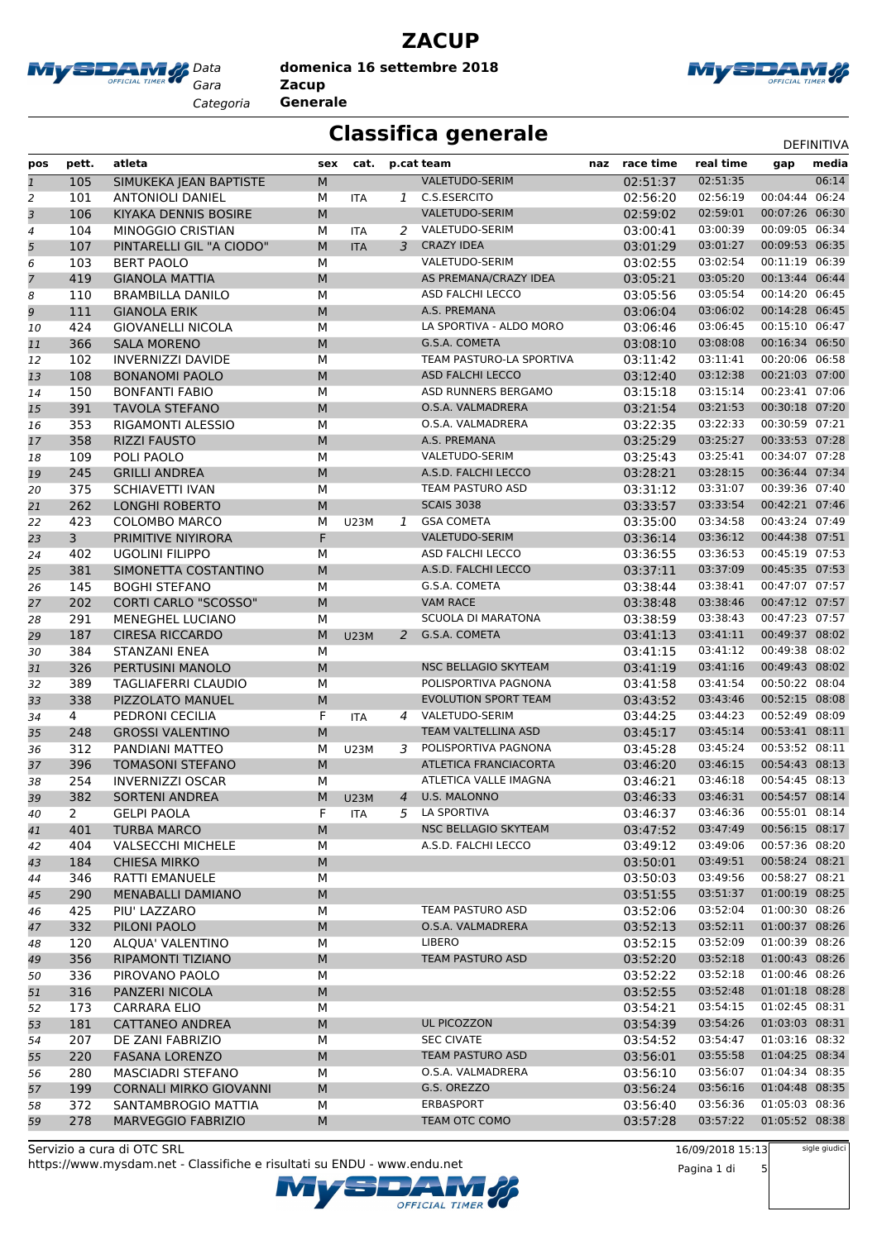

**ZACUP domenica 16 settembre 2018**

*Categoria* **Generale**



### **Classifica generale** Definitival DEFINITIVA

| pos                     | pett.          | atleta                        | sex       | cat.        |               | p.cat team                   | naz race time | real time            | gap                              | media |
|-------------------------|----------------|-------------------------------|-----------|-------------|---------------|------------------------------|---------------|----------------------|----------------------------------|-------|
| $\overline{1}$          | 105            | <b>SIMUKEKA JEAN BAPTISTE</b> | ${\sf M}$ |             |               | <b>VALETUDO-SERIM</b>        | 02:51:37      | 02:51:35             |                                  | 06:14 |
| 2                       | 101            | <b>ANTONIOLI DANIEL</b>       | М         | ITA         | 1             | C.S.ESERCITO                 | 02:56:20      | 02:56:19             | 00:04:44                         | 06:24 |
| $\overline{\mathbf{3}}$ | 106            | KIYAKA DENNIS BOSIRE          | M         |             |               | VALETUDO-SERIM               | 02:59:02      | 02:59:01             | 00:07:26                         | 06:30 |
| 4                       | 104            | MINOGGIO CRISTIAN             | М         | <b>ITA</b>  | 2             | VALETUDO-SERIM               | 03:00:41      | 03:00:39             | 00:09:05 06:34                   |       |
| 5                       | 107            | PINTARELLI GIL "A CIODO"      | M         | <b>ITA</b>  | 3             | <b>CRAZY IDEA</b>            | 03:01:29      | 03:01:27             | 00:09:53 06:35                   |       |
| 6                       | 103            | <b>BERT PAOLO</b>             | M         |             |               | VALETUDO-SERIM               | 03:02:55      | 03:02:54             | 00:11:19                         | 06:39 |
| 7                       | 419            | <b>GIANOLA MATTIA</b>         | M         |             |               | AS PREMANA/CRAZY IDEA        | 03:05:21      | 03:05:20             | 00:13:44 06:44                   |       |
| 8                       | 110            | <b>BRAMBILLA DANILO</b>       | M         |             |               | <b>ASD FALCHI LECCO</b>      | 03:05:56      | 03:05:54             | 00:14:20 06:45                   |       |
| 9                       | 111            | <b>GIANOLA ERIK</b>           | M         |             |               | A.S. PREMANA                 | 03:06:04      | 03:06:02             | 00:14:28 06:45                   |       |
|                         | 424            | <b>GIOVANELLI NICOLA</b>      | М         |             |               | LA SPORTIVA - ALDO MORO      | 03:06:46      | 03:06:45             | 00:15:10 06:47                   |       |
| 10                      | 366            | <b>SALA MORENO</b>            | M         |             |               | G.S.A. COMETA                | 03:08:10      | 03:08:08             | 00:16:34 06:50                   |       |
| 11<br>12                | 102            | <b>INVERNIZZI DAVIDE</b>      | M         |             |               | TEAM PASTURO-LA SPORTIVA     | 03:11:42      | 03:11:41             | 00:20:06 06:58                   |       |
|                         | 108            | <b>BONANOMI PAOLO</b>         | M         |             |               | <b>ASD FALCHI LECCO</b>      | 03:12:40      | 03:12:38             | 00:21:03 07:00                   |       |
| 13                      |                |                               |           |             |               | ASD RUNNERS BERGAMO          |               | 03:15:14             | 00:23:41 07:06                   |       |
| 14                      | 150            | <b>BONFANTI FABIO</b>         | M         |             |               |                              | 03:15:18      |                      | 00:30:18 07:20                   |       |
| 15                      | 391            | TAVOLA STEFANO                | M         |             |               | O.S.A. VALMADRERA            | 03:21:54      | 03:21:53             | 00:30:59 07:21                   |       |
| 16                      | 353            | RIGAMONTI ALESSIO             | М         |             |               | O.S.A. VALMADRERA            | 03:22:35      | 03:22:33<br>03:25:27 | 00:33:53 07:28                   |       |
| 17                      | 358            | <b>RIZZI FAUSTO</b>           | M         |             |               | A.S. PREMANA                 | 03:25:29      |                      |                                  |       |
| 18                      | 109            | POLI PAOLO                    | M         |             |               | VALETUDO-SERIM               | 03:25:43      | 03:25:41             | 00:34:07 07:28<br>00:36:44 07:34 |       |
| 19                      | 245            | <b>GRILLI ANDREA</b>          | M         |             |               | A.S.D. FALCHI LECCO          | 03:28:21      | 03:28:15             |                                  |       |
| 20                      | 375            | <b>SCHIAVETTI IVAN</b>        | M         |             |               | TEAM PASTURO ASD             | 03:31:12      | 03:31:07             | 00:39:36 07:40                   |       |
| 21                      | 262            | <b>LONGHI ROBERTO</b>         | M         |             |               | <b>SCAIS 3038</b>            | 03:33:57      | 03:33:54             | 00:42:21 07:46                   |       |
| 22                      | 423            | <b>COLOMBO MARCO</b>          | M         | <b>U23M</b> | 1             | <b>GSA COMETA</b>            | 03:35:00      | 03:34:58             | 00:43:24 07:49                   |       |
| 23                      | $\overline{3}$ | PRIMITIVE NIYIRORA            | F         |             |               | VALETUDO-SERIM               | 03:36:14      | 03:36:12             | 00:44:38 07:51                   |       |
| 24                      | 402            | <b>UGOLINI FILIPPO</b>        | М         |             |               | <b>ASD FALCHI LECCO</b>      | 03:36:55      | 03:36:53             | 00:45:19 07:53                   |       |
| 25                      | 381            | SIMONETTA COSTANTINO          | M         |             |               | A.S.D. FALCHI LECCO          | 03:37:11      | 03:37:09             | 00:45:35 07:53                   |       |
| 26                      | 145            | <b>BOGHI STEFANO</b>          | М         |             |               | G.S.A. COMETA                | 03:38:44      | 03:38:41             | 00:47:07 07:57                   |       |
| 27                      | 202            | <b>CORTI CARLO "SCOSSO"</b>   | M         |             |               | <b>VAM RACE</b>              | 03:38:48      | 03:38:46             | 00:47:12 07:57                   |       |
| 28                      | 291            | <b>MENEGHEL LUCIANO</b>       | М         |             |               | <b>SCUOLA DI MARATONA</b>    | 03:38:59      | 03:38:43             | 00:47:23 07:57                   |       |
| 29                      | 187            | <b>CIRESA RICCARDO</b>        | M         | <b>U23M</b> | $\mathcal{P}$ | G.S.A. COMETA                | 03:41:13      | 03:41:11             | 00:49:37 08:02                   |       |
| 30                      | 384            | STANZANI ENEA                 | M         |             |               |                              | 03:41:15      | 03:41:12             | 00:49:38 08:02                   |       |
| 31                      | 326            | PERTUSINI MANOLO              | M         |             |               | NSC BELLAGIO SKYTEAM         | 03:41:19      | 03:41:16             | 00:49:43 08:02                   |       |
| 32                      | 389            | TAGLIAFERRI CLAUDIO           | M         |             |               | POLISPORTIVA PAGNONA         | 03:41:58      | 03:41:54             | 00:50:22 08:04                   |       |
| 33                      | 338            | PIZZOLATO MANUEL              | M         |             |               | <b>EVOLUTION SPORT TEAM</b>  | 03:43:52      | 03:43:46             | 00:52:15 08:08                   |       |
| 34                      | 4              | PEDRONI CECILIA               | F.        | ITA         | 4             | VALETUDO-SERIM               | 03:44:25      | 03:44:23             | 00:52:49 08:09                   |       |
| 35                      | 248            | <b>GROSSI VALENTINO</b>       | M         |             |               | TEAM VALTELLINA ASD          | 03:45:17      | 03:45:14             | 00:53:41 08:11                   |       |
| 36                      | 312            | PANDIANI MATTEO               | М         | U23M        |               | 3 POLISPORTIVA PAGNONA       | 03:45:28      | 03:45:24             | 00:53:52 08:11                   |       |
| 37                      | 396            | <b>TOMASONI STEFANO</b>       | M         |             |               | <b>ATLETICA FRANCIACORTA</b> | 03:46:20      | 03:46:15             | 00:54:43 08:13                   |       |
| 38                      | 254            | <b>INVERNIZZI OSCAR</b>       | М         |             |               | ATLETICA VALLE IMAGNA        | 03:46:21      | 03:46:18             | 00:54:45 08:13                   |       |
| 39                      | 382            | <b>SORTENI ANDREA</b>         | M         | <b>U23M</b> | 4             | U.S. MALONNO                 | 03:46:33      | 03:46:31             | 00:54:57 08:14                   |       |
| 40                      | 2              | <b>GELPI PAOLA</b>            | F         | ITA         |               | 5 LA SPORTIVA                | 03:46:37      | 03:46:36             | 00:55:01 08:14                   |       |
| 41                      | 401            | <b>TURBA MARCO</b>            | M         |             |               | NSC BELLAGIO SKYTEAM         | 03:47:52      | 03:47:49             | 00:56:15 08:17                   |       |
| 42                      | 404            | <b>VALSECCHI MICHELE</b>      | М         |             |               | A.S.D. FALCHI LECCO          | 03:49:12      | 03:49:06             | 00:57:36 08:20                   |       |
| 43                      | 184            | <b>CHIESA MIRKO</b>           | M         |             |               |                              | 03:50:01      | 03:49:51             | 00:58:24 08:21                   |       |
| 44                      | 346            | RATTI EMANUELE                | М         |             |               |                              | 03:50:03      | 03:49:56             | 00:58:27 08:21                   |       |
| 45                      | 290            | MENABALLI DAMIANO             | M         |             |               |                              | 03:51:55      | 03:51:37             | 01:00:19 08:25                   |       |
| 46                      | 425            | PIU' LAZZARO                  | М         |             |               | TEAM PASTURO ASD             | 03:52:06      | 03:52:04             | 01:00:30 08:26                   |       |
| 47                      | 332            | PILONI PAOLO                  | M         |             |               | O.S.A. VALMADRERA            | 03:52:13      | 03:52:11             | 01:00:37 08:26                   |       |
| 48                      | 120            | ALQUA' VALENTINO              | М         |             |               | LIBERO                       | 03:52:15      | 03:52:09             | 01:00:39 08:26                   |       |
| 49                      | 356            | RIPAMONTI TIZIANO             | M         |             |               | TEAM PASTURO ASD             | 03:52:20      | 03:52:18             | 01:00:43 08:26                   |       |
| 50                      | 336            | PIROVANO PAOLO                | М         |             |               |                              | 03:52:22      | 03:52:18             | 01:00:46 08:26                   |       |
| 51                      | 316            | PANZERI NICOLA                | M         |             |               |                              | 03:52:55      | 03:52:48             | 01:01:18 08:28                   |       |
| 52                      | 173            | <b>CARRARA ELIO</b>           | М         |             |               |                              | 03:54:21      | 03:54:15             | 01:02:45 08:31                   |       |
| 53                      | 181            | CATTANEO ANDREA               | M         |             |               | UL PICOZZON                  | 03:54:39      | 03:54:26             | 01:03:03 08:31                   |       |
| 54                      | 207            | DE ZANI FABRIZIO              | М         |             |               | <b>SEC CIVATE</b>            | 03:54:52      | 03:54:47             | 01:03:16 08:32                   |       |
| 55                      | 220            | <b>FASANA LORENZO</b>         | M         |             |               | TEAM PASTURO ASD             | 03:56:01      | 03:55:58             | 01:04:25 08:34                   |       |
| 56                      | 280            | MASCIADRI STEFANO             | М         |             |               | O.S.A. VALMADRERA            | 03:56:10      | 03:56:07             | 01:04:34 08:35                   |       |
| 57                      | 199            | <b>CORNALI MIRKO GIOVANNI</b> | M         |             |               | G.S. OREZZO                  | 03:56:24      | 03:56:16             | 01:04:48 08:35                   |       |
| 58                      | 372            | SANTAMBROGIO MATTIA           | М         |             |               | ERBASPORT                    | 03:56:40      | 03:56:36             | 01:05:03 08:36                   |       |
| 59                      | 278            | <b>MARVEGGIO FABRIZIO</b>     | M         |             |               | TEAM OTC COMO                | 03:57:28      | 03:57:22             | 01:05:52 08:38                   |       |
|                         |                |                               |           |             |               |                              |               |                      |                                  |       |

OFFICIAL TIMER

https://www.mysdam.net - Classifiche e risultati su ENDU - www.endu.net Servizio a cura di OTC SRL

16/09/2018 15:13

Pagina 1 di 5

sigle giudici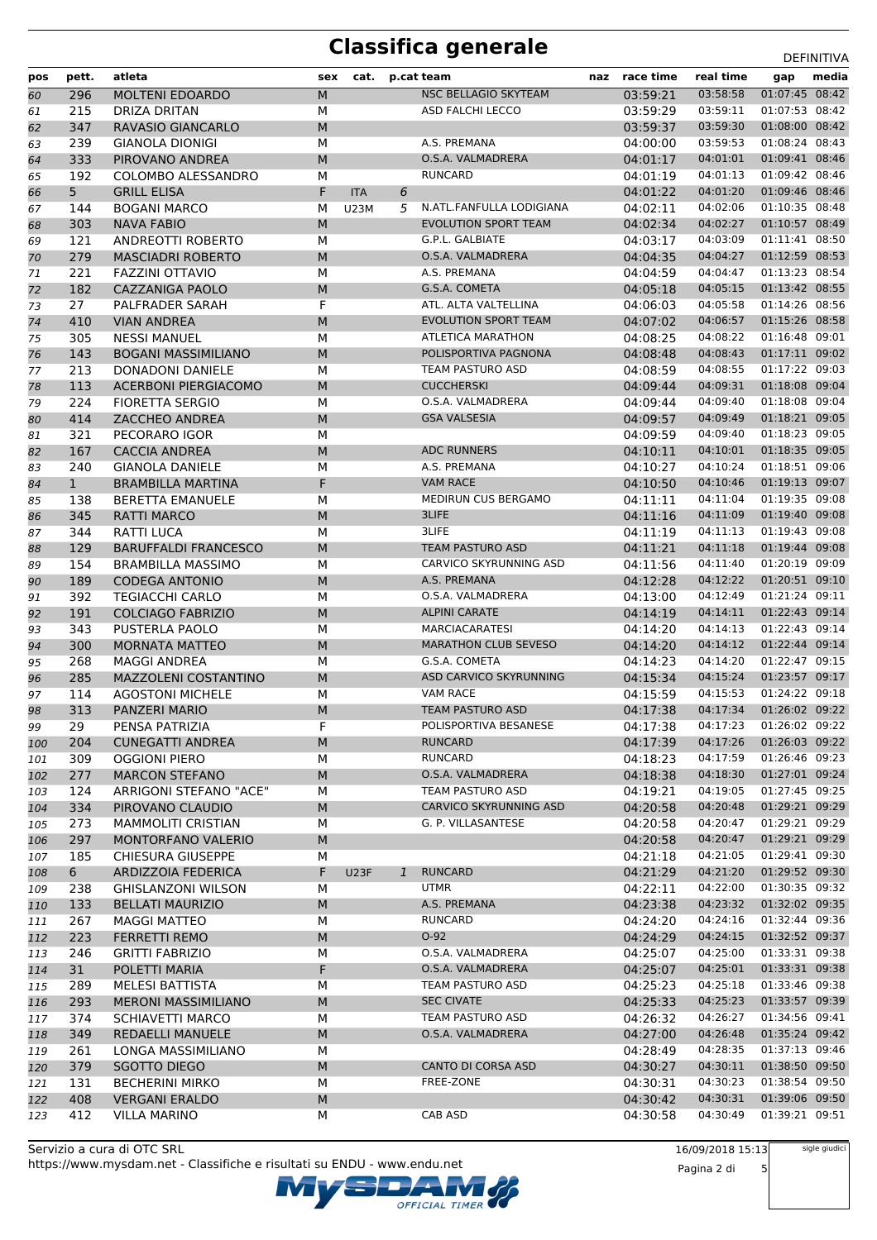| pos        | pett.        | atleta                                         | sex       | cat.        |   | p.cat team                                           | naz | race time            | real time            | gap                              | media |
|------------|--------------|------------------------------------------------|-----------|-------------|---|------------------------------------------------------|-----|----------------------|----------------------|----------------------------------|-------|
| 60         | 296          | <b>MOLTENI EDOARDO</b>                         | M         |             |   | NSC BELLAGIO SKYTEAM                                 |     | 03:59:21             | 03:58:58             | 01:07:45 08:42                   |       |
| 61         | 215          | <b>DRIZA DRITAN</b>                            | M         |             |   | <b>ASD FALCHI LECCO</b>                              |     | 03:59:29             | 03:59:11             | 01:07:53 08:42                   |       |
| 62         | 347          | RAVASIO GIANCARLO                              | M         |             |   |                                                      |     | 03:59:37             | 03:59:30             | 01:08:00 08:42                   |       |
| 63         | 239          | <b>GIANOLA DIONIGI</b>                         | М         |             |   | A.S. PREMANA                                         |     | 04:00:00             | 03:59:53             | 01:08:24 08:43                   |       |
| 64         | 333          | PIROVANO ANDREA                                | ${\sf M}$ |             |   | O.S.A. VALMADRERA                                    |     | 04:01:17             | 04:01:01             | 01:09:41 08:46                   |       |
| 65         | 192          | COLOMBO ALESSANDRO                             | М         |             |   | <b>RUNCARD</b>                                       |     | 04:01:19             | 04:01:13             | 01:09:42 08:46                   |       |
| 66         | 5            | <b>GRILL ELISA</b>                             | F.        | <b>ITA</b>  | 6 |                                                      |     | 04:01:22             | 04:01:20             | 01:09:46 08:46                   |       |
| 67         | 144          | <b>BOGANI MARCO</b>                            | M         | U23M        | 5 | N.ATL.FANFULLA LODIGIANA                             |     | 04:02:11             | 04:02:06             | 01:10:35 08:48                   |       |
| 68         | 303          | <b>NAVA FABIO</b>                              | M         |             |   | <b>EVOLUTION SPORT TEAM</b>                          |     | 04:02:34             | 04:02:27             | 01:10:57 08:49                   |       |
| 69         | 121          | <b>ANDREOTTI ROBERTO</b>                       | М         |             |   | G.P.L. GALBIATE                                      |     | 04:03:17             | 04:03:09             | 01:11:41 08:50                   |       |
| 70         | 279          | <b>MASCIADRI ROBERTO</b>                       | M         |             |   | O.S.A. VALMADRERA                                    |     | 04:04:35             | 04:04:27             | 01:12:59 08:53                   |       |
| 71         | 221          | <b>FAZZINI OTTAVIO</b>                         | M         |             |   | A.S. PREMANA                                         |     | 04:04:59             | 04:04:47             | 01:13:23 08:54<br>01:13:42 08:55 |       |
| 72         | 182          | <b>CAZZANIGA PAOLO</b>                         | M<br>F    |             |   | G.S.A. COMETA<br>ATL. ALTA VALTELLINA                |     | 04:05:18             | 04:05:15<br>04:05:58 | 01:14:26 08:56                   |       |
| 73         | 27           | PALFRADER SARAH<br><b>VIAN ANDREA</b>          | M         |             |   | <b>EVOLUTION SPORT TEAM</b>                          |     | 04:06:03<br>04:07:02 | 04:06:57             | 01:15:26 08:58                   |       |
| 74<br>75   | 410<br>305   | <b>NESSI MANUEL</b>                            | М         |             |   | <b>ATLETICA MARATHON</b>                             |     | 04:08:25             | 04:08:22             | 01:16:48 09:01                   |       |
| 76         | 143          | <b>BOGANI MASSIMILIANO</b>                     | M         |             |   | POLISPORTIVA PAGNONA                                 |     | 04:08:48             | 04:08:43             | 01:17:11 09:02                   |       |
| 77         | 213          | <b>DONADONI DANIELE</b>                        | M         |             |   | TEAM PASTURO ASD                                     |     | 04:08:59             | 04:08:55             | 01:17:22 09:03                   |       |
| 78         | 113          | <b>ACERBONI PIERGIACOMO</b>                    | M         |             |   | <b>CUCCHERSKI</b>                                    |     | 04:09:44             | 04:09:31             | 01:18:08 09:04                   |       |
| 79         | 224          | <b>FIORETTA SERGIO</b>                         | М         |             |   | O.S.A. VALMADRERA                                    |     | 04:09:44             | 04:09:40             | 01:18:08 09:04                   |       |
| 80         | 414          | <b>ZACCHEO ANDREA</b>                          | ${\sf M}$ |             |   | <b>GSA VALSESIA</b>                                  |     | 04:09:57             | 04:09:49             | 01:18:21 09:05                   |       |
| 81         | 321          | PECORARO IGOR                                  | M         |             |   |                                                      |     | 04:09:59             | 04:09:40             | 01:18:23 09:05                   |       |
| 82         | 167          | <b>CACCIA ANDREA</b>                           | M         |             |   | <b>ADC RUNNERS</b>                                   |     | 04:10:11             | 04:10:01             | 01:18:35 09:05                   |       |
| 83         | 240          | <b>GIANOLA DANIELE</b>                         | M         |             |   | A.S. PREMANA                                         |     | 04:10:27             | 04:10:24             | 01:18:51 09:06                   |       |
| 84         | $\mathbf{1}$ | <b>BRAMBILLA MARTINA</b>                       | F         |             |   | <b>VAM RACE</b>                                      |     | 04:10:50             | 04:10:46             | 01:19:13 09:07                   |       |
| 85         | 138          | <b>BERETTA EMANUELE</b>                        | M         |             |   | MEDIRUN CUS BERGAMO                                  |     | 04:11:11             | 04:11:04             | 01:19:35 09:08                   |       |
| 86         | 345          | RATTI MARCO                                    | M         |             |   | 3LIFE                                                |     | 04:11:16             | 04:11:09             | 01:19:40 09:08                   |       |
| 87         | 344          | RATTI LUCA                                     | M         |             |   | 3LIFE                                                |     | 04:11:19             | 04:11:13             | 01:19:43 09:08                   |       |
| 88         | 129          | <b>BARUFFALDI FRANCESCO</b>                    | M         |             |   | <b>TEAM PASTURO ASD</b>                              |     | 04:11:21             | 04:11:18             | 01:19:44 09:08                   |       |
| 89         | 154          | <b>BRAMBILLA MASSIMO</b>                       | M         |             |   | CARVICO SKYRUNNING ASD                               |     | 04:11:56             | 04:11:40             | 01:20:19 09:09                   |       |
| 90         | 189          | <b>CODEGA ANTONIO</b>                          | M         |             |   | A.S. PREMANA                                         |     | 04:12:28             | 04:12:22             | 01:20:51 09:10                   |       |
| 91         | 392          | <b>TEGIACCHI CARLO</b>                         | M         |             |   | O.S.A. VALMADRERA                                    |     | 04:13:00             | 04:12:49             | 01:21:24 09:11                   |       |
| 92         | 191          | <b>COLCIAGO FABRIZIO</b>                       | M         |             |   | <b>ALPINI CARATE</b>                                 |     | 04:14:19             | 04:14:11             | 01:22:43 09:14<br>01:22:43 09:14 |       |
| 93         | 343<br>300   | PUSTERLA PAOLO<br><b>MORNATA MATTEO</b>        | M<br>M    |             |   | <b>MARCIACARATESI</b><br><b>MARATHON CLUB SEVESO</b> |     | 04:14:20<br>04:14:20 | 04:14:13<br>04:14:12 | 01:22:44 09:14                   |       |
| 94<br>95   | 268          | <b>MAGGI ANDREA</b>                            | M         |             |   | G.S.A. COMETA                                        |     | 04:14:23             | 04:14:20             | 01:22:47 09:15                   |       |
| 96         | 285          | <b>MAZZOLENI COSTANTINO</b>                    | M         |             |   | ASD CARVICO SKYRUNNING                               |     | 04:15:34             | 04:15:24             | 01:23:57 09:17                   |       |
| 97         | 114          | <b>AGOSTONI MICHELE</b>                        | M         |             |   | <b>VAM RACE</b>                                      |     | 04:15:59             | 04:15:53             | 01:24:22 09:18                   |       |
| 98         | 313          | PANZERI MARIO                                  | M         |             |   | <b>TEAM PASTURO ASD</b>                              |     | 04:17:38             | 04:17:34             | 01:26:02 09:22                   |       |
| 99         | 29           | PENSA PATRIZIA                                 | F         |             |   | POLISPORTIVA BESANESE                                |     | 04:17:38             | 04:17:23             | 01:26:02 09:22                   |       |
| 100        | 204          | <b>CUNEGATTI ANDREA</b>                        | M         |             |   | RUNCARD                                              |     | 04:17:39             | 04:17:26             | 01:26:03 09:22                   |       |
| 101        | 309          | <b>OGGIONI PIERO</b>                           | М         |             |   | <b>RUNCARD</b>                                       |     | 04:18:23             | 04:17:59             | 01:26:46 09:23                   |       |
| 102        | 277          | <b>MARCON STEFANO</b>                          | M         |             |   | O.S.A. VALMADRERA                                    |     | 04:18:38             | 04:18:30             | 01:27:01 09:24                   |       |
| 103        | 124          | ARRIGONI STEFANO "ACE"                         | М         |             |   | TEAM PASTURO ASD                                     |     | 04:19:21             | 04:19:05             | 01:27:45 09:25                   |       |
| 104        | 334          | PIROVANO CLAUDIO                               | ${\sf M}$ |             |   | <b>CARVICO SKYRUNNING ASD</b>                        |     | 04:20:58             | 04:20:48             | 01:29:21 09:29                   |       |
| 105        | 273          | <b>MAMMOLITI CRISTIAN</b>                      | м         |             |   | G. P. VILLASANTESE                                   |     | 04:20:58             | 04:20:47             | 01:29:21 09:29                   |       |
| 106        | 297          | MONTORFANO VALERIO                             | ${\sf M}$ |             |   |                                                      |     | 04:20:58             | 04:20:47             | 01:29:21 09:29                   |       |
| 107        | 185          | <b>CHIESURA GIUSEPPE</b>                       | М         |             |   |                                                      |     | 04:21:18             | 04:21:05             | 01:29:41 09:30                   |       |
| 108        | 6            | ARDIZZOIA FEDERICA                             | F.        | <b>U23F</b> | 1 | <b>RUNCARD</b>                                       |     | 04:21:29             | 04:21:20             | 01:29:52 09:30                   |       |
| 109        | 238          | <b>GHISLANZONI WILSON</b>                      | М         |             |   | <b>UTMR</b>                                          |     | 04:22:11             | 04:22:00             | 01:30:35 09:32                   |       |
| 110        | 133          | <b>BELLATI MAURIZIO</b>                        | ${\sf M}$ |             |   | A.S. PREMANA                                         |     | 04:23:38             | 04:23:32             | 01:32:02 09:35                   |       |
| 111        | 267          | <b>MAGGI MATTEO</b>                            | М         |             |   | <b>RUNCARD</b><br>$O-92$                             |     | 04:24:20             | 04:24:16<br>04:24:15 | 01:32:44 09:36<br>01:32:52 09:37 |       |
| 112        | 223<br>246   | <b>FERRETTI REMO</b><br><b>GRITTI FABRIZIO</b> | M<br>М    |             |   | O.S.A. VALMADRERA                                    |     | 04:24:29<br>04:25:07 | 04:25:00             | 01:33:31 09:38                   |       |
| 113        | 31           | POLETTI MARIA                                  | F         |             |   | O.S.A. VALMADRERA                                    |     | 04:25:07             | 04:25:01             | 01:33:31 09:38                   |       |
| 114<br>115 | 289          | MELESI BATTISTA                                | М         |             |   | TEAM PASTURO ASD                                     |     | 04:25:23             | 04:25:18             | 01:33:46 09:38                   |       |
| 116        | 293          | <b>MERONI MASSIMILIANO</b>                     | ${\sf M}$ |             |   | <b>SEC CIVATE</b>                                    |     | 04:25:33             | 04:25:23             | 01:33:57 09:39                   |       |
| 117        | 374          | SCHIAVETTI MARCO                               | м         |             |   | TEAM PASTURO ASD                                     |     | 04:26:32             | 04:26:27             | 01:34:56 09:41                   |       |
| 118        | 349          | REDAELLI MANUELE                               | ${\sf M}$ |             |   | O.S.A. VALMADRERA                                    |     | 04:27:00             | 04:26:48             | 01:35:24 09:42                   |       |
| 119        | 261          | LONGA MASSIMILIANO                             | М         |             |   |                                                      |     | 04:28:49             | 04:28:35             | 01:37:13 09:46                   |       |
| 120        | 379          | SGOTTO DIEGO                                   | M         |             |   | CANTO DI CORSA ASD                                   |     | 04:30:27             | 04:30:11             | 01:38:50 09:50                   |       |
| 121        | 131          | <b>BECHERINI MIRKO</b>                         | М         |             |   | FREE-ZONE                                            |     | 04:30:31             | 04:30:23             | 01:38:54 09:50                   |       |
| 122        | 408          | <b>VERGANI ERALDO</b>                          | ${\sf M}$ |             |   |                                                      |     | 04:30:42             | 04:30:31             | 01:39:06 09:50                   |       |
| 123        | 412          | <b>VILLA MARINO</b>                            | м         |             |   | CAB ASD                                              |     | 04:30:58             | 04:30:49             | 01:39:21 09:51                   |       |

Servizio a cura di OTC SRL https://www.mysdam.net - Classifiche e risultati su ENDU - www.endu.net OFFICIAL TIMER 16/09/2018 15:13

Pagina 2 di 5

sigle giudici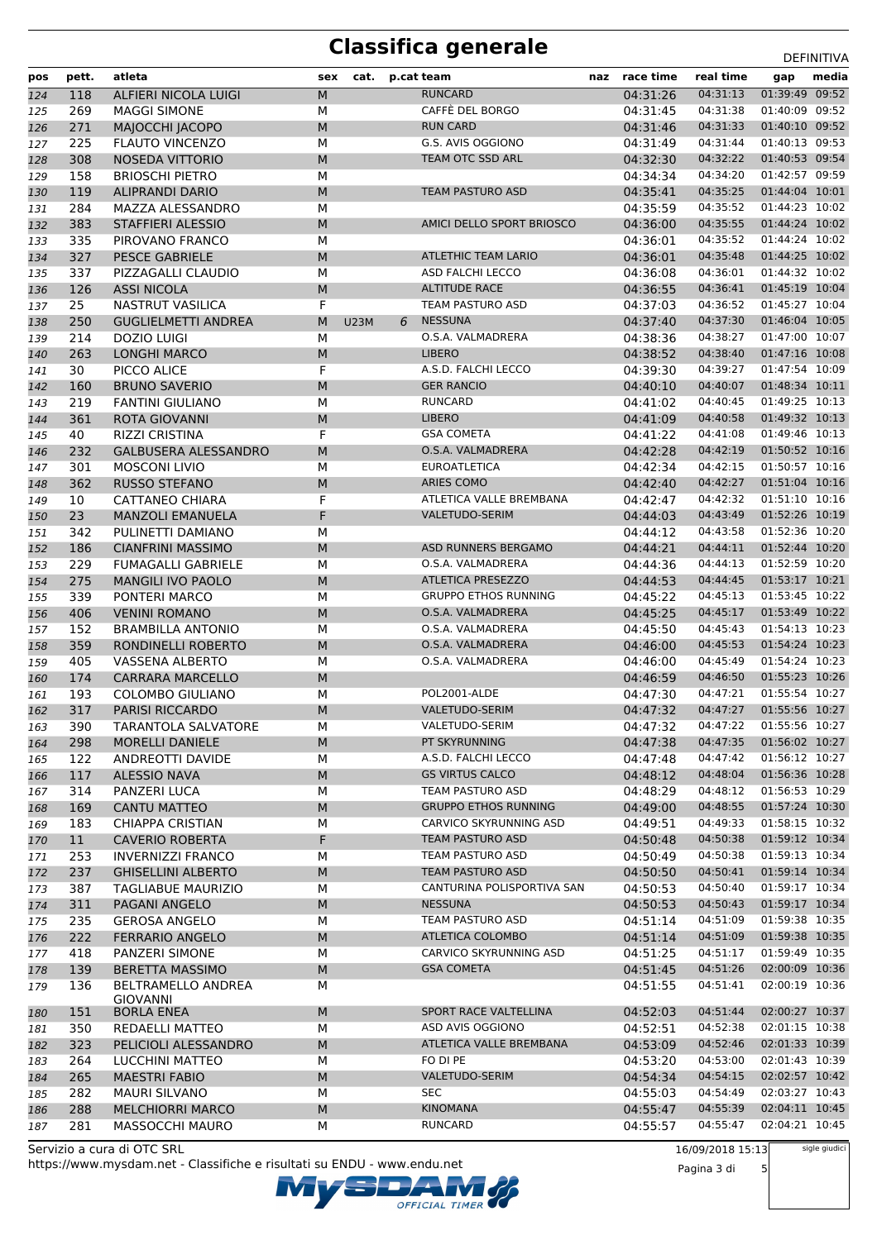| pos        | pett.      | atleta                                            | sex       | cat.        |   | p.cat team                             | naz | race time            | real time            | gap                              | media |
|------------|------------|---------------------------------------------------|-----------|-------------|---|----------------------------------------|-----|----------------------|----------------------|----------------------------------|-------|
| 124        | 118        | ALFIERI NICOLA LUIGI                              | M         |             |   | <b>RUNCARD</b>                         |     | 04:31:26             | 04:31:13             | 01:39:49 09:52                   |       |
| 125        | 269        | <b>MAGGI SIMONE</b>                               | M         |             |   | CAFFÈ DEL BORGO                        |     | 04:31:45             | 04:31:38             | 01:40:09 09:52                   |       |
| 126        | 271        | MAJOCCHI JACOPO                                   | M         |             |   | <b>RUN CARD</b>                        |     | 04:31:46             | 04:31:33             | 01:40:10 09:52                   |       |
| 127        | 225        | <b>FLAUTO VINCENZO</b>                            | M         |             |   | G.S. AVIS OGGIONO                      |     | 04:31:49             | 04:31:44             | 01:40:13 09:53                   |       |
| 128        | 308        | <b>NOSEDA VITTORIO</b>                            | M         |             |   | TEAM OTC SSD ARL                       |     | 04:32:30             | 04:32:22             | 01:40:53 09:54                   |       |
| 129        | 158        | <b>BRIOSCHI PIETRO</b>                            | M         |             |   |                                        |     | 04:34:34             | 04:34:20             | 01:42:57 09:59                   |       |
| 130        | 119        | <b>ALIPRANDI DARIO</b>                            | M         |             |   | <b>TEAM PASTURO ASD</b>                |     | 04:35:41             | 04:35:25             | 01:44:04 10:01                   |       |
| 131        | 284        | MAZZA ALESSANDRO                                  | M         |             |   |                                        |     | 04:35:59             | 04:35:52             | 01:44:23 10:02                   |       |
| 132        | 383        | <b>STAFFIERI ALESSIO</b>                          | M         |             |   | AMICI DELLO SPORT BRIOSCO              |     | 04:36:00             | 04:35:55             | 01:44:24 10:02                   |       |
| 133        | 335        | PIROVANO FRANCO                                   | M         |             |   |                                        |     | 04:36:01             | 04:35:52             | 01:44:24 10:02                   |       |
| 134        | 327        | <b>PESCE GABRIELE</b>                             | M         |             |   | <b>ATLETHIC TEAM LARIO</b>             |     | 04:36:01             | 04:35:48             | 01:44:25 10:02                   |       |
| 135        | 337        | PIZZAGALLI CLAUDIO                                | M         |             |   | ASD FALCHI LECCO                       |     | 04:36:08             | 04:36:01             | 01:44:32 10:02                   |       |
| 136        | 126        | <b>ASSI NICOLA</b>                                | M         |             |   | <b>ALTITUDE RACE</b>                   |     | 04:36:55             | 04:36:41             | 01:45:19 10:04                   |       |
| 137        | 25         | <b>NASTRUT VASILICA</b>                           | F         |             |   | TEAM PASTURO ASD                       |     | 04:37:03             | 04:36:52             | 01:45:27 10:04                   |       |
| 138        | 250        | <b>GUGLIELMETTI ANDREA</b>                        | M         | <b>U23M</b> | 6 | <b>NESSUNA</b>                         |     | 04:37:40             | 04:37:30             | 01:46:04 10:05                   |       |
| 139        | 214        | <b>DOZIO LUIGI</b>                                | M         |             |   | O.S.A. VALMADRERA                      |     | 04:38:36             | 04:38:27             | 01:47:00 10:07                   |       |
| 140        | 263        | <b>LONGHI MARCO</b>                               | M         |             |   | <b>LIBERO</b>                          |     | 04:38:52             | 04:38:40             | 01:47:16 10:08                   |       |
| 141        | 30         | PICCO ALICE                                       | F         |             |   | A.S.D. FALCHI LECCO                    |     | 04:39:30             | 04:39:27             | 01:47:54 10:09                   |       |
| 142        | 160        | <b>BRUNO SAVERIO</b>                              | M         |             |   | <b>GER RANCIO</b>                      |     | 04:40:10             | 04:40:07             | 01:48:34 10:11                   |       |
| 143        | 219        | <b>FANTINI GIULIANO</b>                           | M         |             |   | <b>RUNCARD</b>                         |     | 04:41:02             | 04:40:45             | 01:49:25 10:13                   |       |
| 144        | 361        | <b>ROTA GIOVANNI</b>                              | M         |             |   | <b>LIBERO</b>                          |     | 04:41:09             | 04:40:58             | 01:49:32 10:13                   |       |
| 145        | 40         | <b>RIZZI CRISTINA</b>                             | F         |             |   | <b>GSA COMETA</b>                      |     | 04:41:22             | 04:41:08             | 01:49:46 10:13                   |       |
| 146        | 232        | <b>GALBUSERA ALESSANDRO</b>                       | M         |             |   | O.S.A. VALMADRERA                      |     | 04:42:28             | 04:42:19             | 01:50:52 10:16                   |       |
| 147        | 301        | <b>MOSCONI LIVIO</b>                              | M         |             |   | <b>EUROATLETICA</b>                    |     | 04:42:34             | 04:42:15             | 01:50:57 10:16                   |       |
| 148        | 362        | <b>RUSSO STEFANO</b>                              | M         |             |   | ARIES COMO                             |     | 04:42:40             | 04:42:27             | 01:51:04 10:16                   |       |
| 149        | 10         | <b>CATTANEO CHIARA</b>                            | F         |             |   | ATLETICA VALLE BREMBANA                |     | 04:42:47             | 04:42:32             | 01:51:10 10:16                   |       |
| 150        | 23         | <b>MANZOLI EMANUELA</b>                           | F         |             |   | <b>VALETUDO-SERIM</b>                  |     | 04:44:03             | 04:43:49             | 01:52:26 10:19                   |       |
| 151        | 342        | PULINETTI DAMIANO                                 | M         |             |   |                                        |     | 04:44:12             | 04:43:58             | 01:52:36 10:20                   |       |
| 152        | 186        | <b>CIANFRINI MASSIMO</b>                          | M         |             |   | ASD RUNNERS BERGAMO                    |     | 04:44:21             | 04:44:11             | 01:52:44 10:20                   |       |
| 153        | 229        | <b>FUMAGALLI GABRIELE</b>                         | M         |             |   | O.S.A. VALMADRERA                      |     | 04:44:36             | 04:44:13             | 01:52:59 10:20                   |       |
| 154        | 275        | <b>MANGILI IVO PAOLO</b>                          | M         |             |   | <b>ATLETICA PRESEZZO</b>               |     | 04:44:53             | 04:44:45             | 01:53:17 10:21                   |       |
| 155        | 339        | PONTERI MARCO                                     | M         |             |   | <b>GRUPPO ETHOS RUNNING</b>            |     | 04:45:22             | 04:45:13             | 01:53:45 10:22                   |       |
| 156        | 406        | <b>VENINI ROMANO</b>                              | M         |             |   | O.S.A. VALMADRERA                      |     | 04:45:25             | 04:45:17             | 01:53:49 10:22                   |       |
| 157        | 152        | <b>BRAMBILLA ANTONIO</b>                          | M         |             |   | O.S.A. VALMADRERA                      |     | 04:45:50             | 04:45:43             | 01:54:13 10:23                   |       |
| 158        | 359        | RONDINELLI ROBERTO                                | M         |             |   | O.S.A. VALMADRERA<br>O.S.A. VALMADRERA |     | 04:46:00             | 04:45:53<br>04:45:49 | 01:54:24 10:23<br>01:54:24 10:23 |       |
| 159        | 405<br>174 | <b>VASSENA ALBERTO</b><br><b>CARRARA MARCELLO</b> | M<br>M    |             |   |                                        |     | 04:46:00<br>04:46:59 | 04:46:50             | 01:55:23 10:26                   |       |
| 160        | 193        | <b>COLOMBO GIULIANO</b>                           | M         |             |   | POL2001-ALDE                           |     | 04:47:30             | 04:47:21             | 01:55:54 10:27                   |       |
| 161<br>162 | 317        | <b>PARISI RICCARDO</b>                            | M         |             |   | <b>VALETUDO-SERIM</b>                  |     | 04:47:32             | 04:47:27             | 01:55:56 10:27                   |       |
| 163        | 390        | TARANTOLA SALVATORE                               | М         |             |   | VALETUDO-SERIM                         |     | 04:47:32             | 04:47:22             | 01:55:56 10:27                   |       |
| 164        | 298        | <b>MORELLI DANIELE</b>                            | M         |             |   | PT SKYRUNNING                          |     | 04:47:38             | 04:47:35             | 01:56:02 10:27                   |       |
| 165        | 122        | ANDREOTTI DAVIDE                                  | М         |             |   | A.S.D. FALCHI LECCO                    |     | 04:47:48             | 04:47:42             | 01:56:12 10:27                   |       |
| 166        | 117        | <b>ALESSIO NAVA</b>                               | M         |             |   | <b>GS VIRTUS CALCO</b>                 |     | 04:48:12             | 04:48:04             | 01:56:36 10:28                   |       |
| 167        | 314        | PANZERI LUCA                                      | M         |             |   | TEAM PASTURO ASD                       |     | 04:48:29             | 04:48:12             | 01:56:53 10:29                   |       |
| 168        | 169        | CANTU MATTEO                                      | ${\sf M}$ |             |   | <b>GRUPPO ETHOS RUNNING</b>            |     | 04:49:00             | 04:48:55             | 01:57:24 10:30                   |       |
| 169        | 183        | <b>CHIAPPA CRISTIAN</b>                           | М         |             |   | CARVICO SKYRUNNING ASD                 |     | 04:49:51             | 04:49:33             | 01:58:15 10:32                   |       |
| 170        | 11         | <b>CAVERIO ROBERTA</b>                            | F         |             |   | <b>TEAM PASTURO ASD</b>                |     | 04:50:48             | 04:50:38             | 01:59:12 10:34                   |       |
| 171        | 253        | <b>INVERNIZZI FRANCO</b>                          | М         |             |   | TEAM PASTURO ASD                       |     | 04:50:49             | 04:50:38             | 01:59:13 10:34                   |       |
| 172        | 237        | <b>GHISELLINI ALBERTO</b>                         | M         |             |   | <b>TEAM PASTURO ASD</b>                |     | 04:50:50             | 04:50:41             | 01:59:14 10:34                   |       |
| 173        | 387        | <b>TAGLIABUE MAURIZIO</b>                         | М         |             |   | CANTURINA POLISPORTIVA SAN             |     | 04:50:53             | 04:50:40             | 01:59:17 10:34                   |       |
| 174        | 311        | PAGANI ANGELO                                     | ${\sf M}$ |             |   | <b>NESSUNA</b>                         |     | 04:50:53             | 04:50:43             | 01:59:17 10:34                   |       |
| 175        | 235        | <b>GEROSA ANGELO</b>                              | М         |             |   | TEAM PASTURO ASD                       |     | 04:51:14             | 04:51:09             | 01:59:38 10:35                   |       |
| 176        | 222        | <b>FERRARIO ANGELO</b>                            | M         |             |   | ATLETICA COLOMBO                       |     | 04:51:14             | 04:51:09             | 01:59:38 10:35                   |       |
| 177        | 418        | PANZERI SIMONE                                    | M         |             |   | CARVICO SKYRUNNING ASD                 |     | 04:51:25             | 04:51:17             | 01:59:49 10:35                   |       |
| 178        | 139        | <b>BERETTA MASSIMO</b>                            | M         |             |   | <b>GSA COMETA</b>                      |     | 04:51:45             | 04:51:26             | 02:00:09 10:36                   |       |
| 179        | 136        | <b>BELTRAMELLO ANDREA</b><br>GIOVANNI             | М         |             |   |                                        |     | 04:51:55             | 04:51:41             | 02:00:19 10:36                   |       |
| 180        | 151        | <b>BORLA ENEA</b>                                 | ${\sf M}$ |             |   | SPORT RACE VALTELLINA                  |     | 04:52:03             | 04:51:44             | 02:00:27 10:37                   |       |
| 181        | 350        | REDAELLI MATTEO                                   | M         |             |   | ASD AVIS OGGIONO                       |     | 04:52:51             | 04:52:38             | 02:01:15 10:38                   |       |
| 182        | 323        | PELICIOLI ALESSANDRO                              | M         |             |   | ATLETICA VALLE BREMBANA                |     | 04:53:09             | 04:52:46             | 02:01:33 10:39                   |       |
| 183        | 264        | LUCCHINI MATTEO                                   | М         |             |   | FO DI PE                               |     | 04:53:20             | 04:53:00             | 02:01:43 10:39                   |       |
| 184        | 265        | <b>MAESTRI FABIO</b>                              | M         |             |   | VALETUDO-SERIM                         |     | 04:54:34             | 04:54:15             | 02:02:57 10:42                   |       |
| 185        | 282        | <b>MAURI SILVANO</b>                              | М         |             |   | <b>SEC</b>                             |     | 04:55:03             | 04:54:49             | 02:03:27 10:43                   |       |
| 186        | 288        | <b>MELCHIORRI MARCO</b>                           | ${\sf M}$ |             |   | <b>KINOMANA</b><br><b>RUNCARD</b>      |     | 04:55:47             | 04:55:39             | 02:04:11 10:45<br>02:04:21 10:45 |       |
| 187        | 281        | MASSOCCHI MAURO                                   | М         |             |   |                                        |     | 04:55:57             | 04:55:47             |                                  |       |

OFFICIAL TIMER

https://www.mysdam.net - Classifiche e risultati su ENDU - www.endu.net Servizio a cura di OTC SRL

16/09/2018 15:13

Pagina 3 di 5 sigle giudici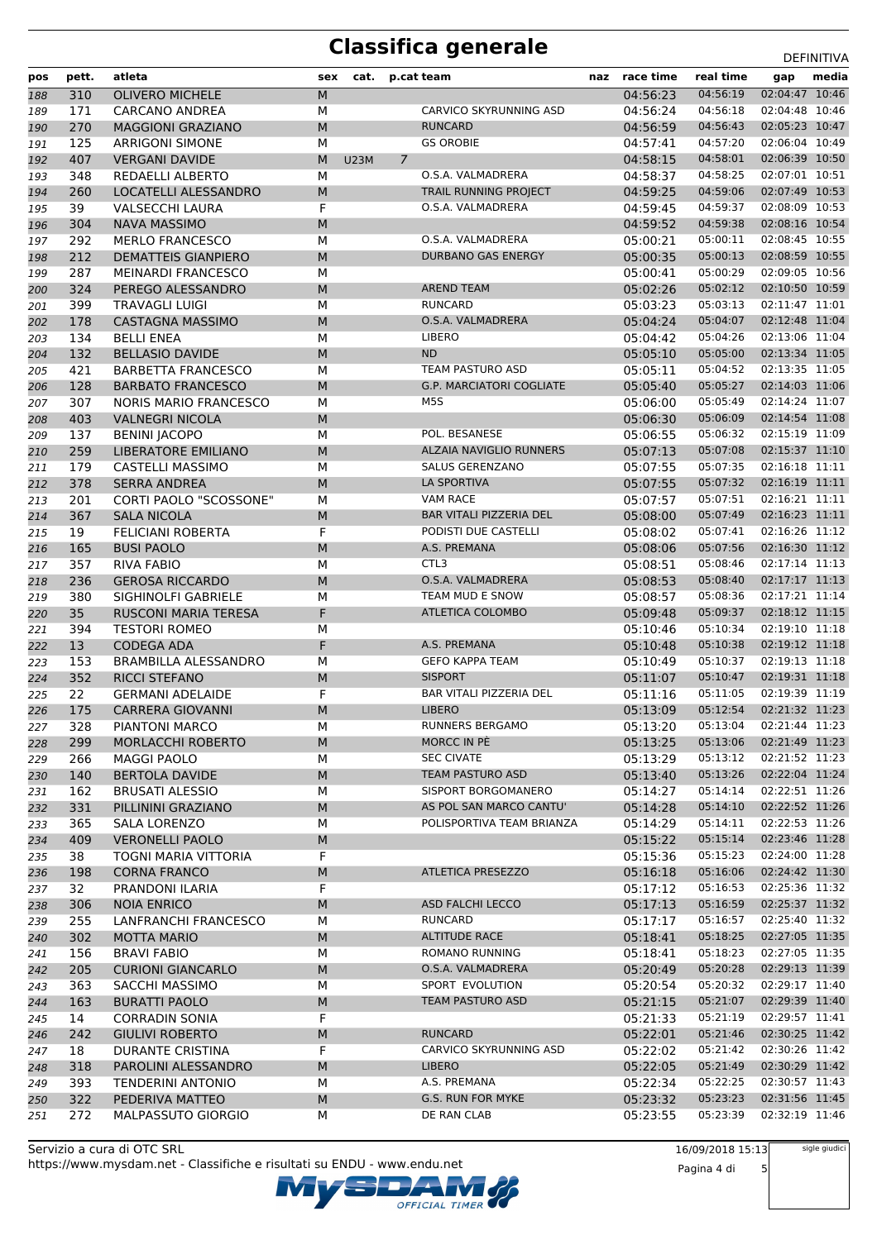| pos        | pett.      | atleta                                         | sex            | cat.        |   | p.cat team                           | naz race time        | real time                 | gap                              | media |
|------------|------------|------------------------------------------------|----------------|-------------|---|--------------------------------------|----------------------|---------------------------|----------------------------------|-------|
| 188        | 310        | <b>OLIVERO MICHELE</b>                         | M              |             |   |                                      | 04:56:23             | 04:56:19                  | 02:04:47 10:46                   |       |
| 189        | 171        | <b>CARCANO ANDREA</b>                          | М              |             |   | CARVICO SKYRUNNING ASD               | 04:56:24             | 04:56:18                  | 02:04:48 10:46                   |       |
| 190        | 270        | <b>MAGGIONI GRAZIANO</b>                       | M              |             |   | <b>RUNCARD</b>                       | 04:56:59             | 04:56:43                  | 02:05:23 10:47                   |       |
| 191        | 125        | <b>ARRIGONI SIMONE</b>                         | M              |             |   | <b>GS OROBIE</b>                     | 04:57:41             | 04:57:20                  | 02:06:04 10:49                   |       |
| 192        | 407        | <b>VERGANI DAVIDE</b>                          | M              | <b>U23M</b> | 7 |                                      | 04:58:15             | 04:58:01                  | 02:06:39 10:50                   |       |
| 193        | 348        | REDAELLI ALBERTO                               | M              |             |   | O.S.A. VALMADRERA                    | 04:58:37             | 04:58:25                  | 02:07:01 10:51                   |       |
| 194        | 260        | LOCATELLI ALESSANDRO                           | M              |             |   | TRAIL RUNNING PROJECT                | 04:59:25             | 04:59:06                  | 02:07:49 10:53                   |       |
| 195        | 39         | <b>VALSECCHI LAURA</b>                         | F              |             |   | O.S.A. VALMADRERA                    | 04:59:45             | 04:59:37                  | 02:08:09 10:53                   |       |
| 196        | 304        | <b>NAVA MASSIMO</b>                            | M              |             |   |                                      | 04:59:52             | 04:59:38                  | 02:08:16 10:54                   |       |
| 197        | 292        | <b>MERLO FRANCESCO</b>                         | M              |             |   | O.S.A. VALMADRERA                    | 05:00:21             | 05:00:11                  | 02:08:45 10:55                   |       |
| 198        | 212        | <b>DEMATTEIS GIANPIERO</b>                     | M              |             |   | <b>DURBANO GAS ENERGY</b>            | 05:00:35             | 05:00:13                  | 02:08:59 10:55                   |       |
| 199        | 287        | <b>MEINARDI FRANCESCO</b>                      | M              |             |   |                                      | 05:00:41             | 05:00:29                  | 02:09:05 10:56                   |       |
| 200        | 324        | PEREGO ALESSANDRO                              | M              |             |   | <b>AREND TEAM</b>                    | 05:02:26             | 05:02:12                  | 02:10:50 10:59                   |       |
| 201        | 399        | <b>TRAVAGLI LUIGI</b>                          | M              |             |   | <b>RUNCARD</b>                       | 05:03:23             | 05:03:13                  | 02:11:47 11:01                   |       |
| 202        | 178        | <b>CASTAGNA MASSIMO</b>                        | M              |             |   | O.S.A. VALMADRERA                    | 05:04:24             | 05:04:07                  | 02:12:48 11:04                   |       |
| 203        | 134        | <b>BELLI ENEA</b>                              | M              |             |   | <b>LIBERO</b>                        | 05:04:42             | 05:04:26                  | 02:13:06 11:04                   |       |
| 204        | 132        | <b>BELLASIO DAVIDE</b>                         | M              |             |   | <b>ND</b>                            | 05:05:10             | 05:05:00                  | 02:13:34 11:05                   |       |
| 205        | 421        | <b>BARBETTA FRANCESCO</b>                      | M              |             |   | TEAM PASTURO ASD                     | 05:05:11             | 05:04:52                  | 02:13:35 11:05                   |       |
| 206        | 128        | <b>BARBATO FRANCESCO</b>                       | M              |             |   | <b>G.P. MARCIATORI COGLIATE</b>      | 05:05:40             | 05:05:27                  | 02:14:03 11:06                   |       |
| 207        | 307        | <b>NORIS MARIO FRANCESCO</b>                   | М              |             |   | M5S                                  | 05:06:00             | 05:05:49                  | 02:14:24 11:07                   |       |
| 208        | 403        | <b>VALNEGRI NICOLA</b>                         | M              |             |   |                                      | 05:06:30             | 05:06:09                  | 02:14:54 11:08                   |       |
| 209        | 137        | <b>BENINI JACOPO</b>                           | M              |             |   | POL. BESANESE                        | 05:06:55             | 05:06:32                  | 02:15:19 11:09                   |       |
| 210        | 259        | <b>LIBERATORE EMILIANO</b>                     | M              |             |   | ALZAIA NAVIGLIO RUNNERS              | 05:07:13             | 05:07:08                  | 02:15:37 11:10                   |       |
| 211        | 179        | CASTELLI MASSIMO                               | M              |             |   | SALUS GERENZANO                      | 05:07:55             | 05:07:35                  | 02:16:18 11:11                   |       |
| 212        | 378        | <b>SERRA ANDREA</b>                            | M              |             |   | LA SPORTIVA                          | 05:07:55             | 05:07:32                  | 02:16:19 11:11                   |       |
| 213        | 201        | <b>CORTI PAOLO "SCOSSONE"</b>                  | М              |             |   | <b>VAM RACE</b>                      | 05:07:57             | 05:07:51                  | 02:16:21 11:11                   |       |
| 214        | 367        | <b>SALA NICOLA</b>                             | M              |             |   | <b>BAR VITALI PIZZERIA DEL</b>       | 05:08:00             | 05:07:49                  | 02:16:23 11:11                   |       |
| 215        | 19         | <b>FELICIANI ROBERTA</b>                       | F              |             |   | PODISTI DUE CASTELLI                 | 05:08:02             | 05:07:41                  | 02:16:26 11:12                   |       |
| 216        | 165        | <b>BUSI PAOLO</b>                              | M              |             |   | A.S. PREMANA                         | 05:08:06             | 05:07:56                  | 02:16:30 11:12                   |       |
| 217        | 357        | <b>RIVA FABIO</b>                              | M              |             |   | CTL <sub>3</sub>                     | 05:08:51             | 05:08:46                  | 02:17:14 11:13                   |       |
| 218        | 236        | <b>GEROSA RICCARDO</b>                         | ${\sf M}$      |             |   | O.S.A. VALMADRERA                    | 05:08:53             | 05:08:40                  | 02:17:17 11:13                   |       |
| 219        | 380        | SIGHINOLFI GABRIELE                            | М              |             |   | TEAM MUD E SNOW                      | 05:08:57             | 05:08:36                  | 02:17:21 11:14                   |       |
| 220        | 35         | RUSCONI MARIA TERESA                           | F              |             |   | ATLETICA COLOMBO                     | 05:09:48             | 05:09:37                  | 02:18:12 11:15                   |       |
| 221        | 394        | <b>TESTORI ROMEO</b>                           | M              |             |   |                                      | 05:10:46             | 05:10:34                  | 02:19:10 11:18                   |       |
| 222        | 13         | <b>CODEGA ADA</b>                              | F              |             |   | A.S. PREMANA                         | 05:10:48             | 05:10:38                  | 02:19:12 11:18                   |       |
| 223        | 153        | <b>BRAMBILLA ALESSANDRO</b>                    | М              |             |   | <b>GEFO KAPPA TEAM</b>               | 05:10:49             | 05:10:37                  | 02:19:13 11:18                   |       |
| 224        | 352        | <b>RICCI STEFANO</b>                           | M              |             |   | <b>SISPORT</b>                       | 05:11:07             | 05:10:47                  | 02:19:31 11:18                   |       |
|            | 22         | <b>GERMANI ADELAIDE</b>                        | F              |             |   | BAR VITALI PIZZERIA DEL              | 05:11:16             | 05:11:05                  | 02:19:39 11:19                   |       |
| 225<br>226 | 175        | <b>CARRERA GIOVANNI</b>                        | M              |             |   | <b>LIBERO</b>                        | 05:13:09             | 05:12:54                  | 02:21:32 11:23                   |       |
| 227        | 328        | PIANTONI MARCO                                 | M              |             |   | RUNNERS BERGAMO                      | 05:13:20             | 05:13:04  02:21:44  11:23 |                                  |       |
|            |            |                                                |                |             |   | MORCC IN PE                          |                      | 05:13:06                  | 02:21:49 11:23                   |       |
| 228        | 299<br>266 | <b>MORLACCHI ROBERTO</b><br><b>MAGGI PAOLO</b> | M<br>М         |             |   | <b>SEC CIVATE</b>                    | 05:13:25<br>05:13:29 | 05:13:12                  | 02:21:52 11:23                   |       |
| 229        | 140        |                                                | M              |             |   | <b>TEAM PASTURO ASD</b>              | 05:13:40             | 05:13:26                  | 02:22:04 11:24                   |       |
| 230        |            | BERTOLA DAVIDE                                 |                |             |   | SISPORT BORGOMANERO                  |                      | 05:14:14                  | 02:22:51 11:26                   |       |
| 231        | 162        | <b>BRUSATI ALESSIO</b>                         | М              |             |   | AS POL SAN MARCO CANTU'              | 05:14:27             | 05:14:10                  | 02:22:52 11:26                   |       |
| 232        | 331<br>365 | PILLININI GRAZIANO<br><b>SALA LORENZO</b>      | ${\sf M}$<br>М |             |   | POLISPORTIVA TEAM BRIANZA            | 05:14:28<br>05:14:29 | 05:14:11                  | 02:22:53 11:26                   |       |
| 233        |            |                                                |                |             |   |                                      | 05:15:22             | 05:15:14                  | 02:23:46 11:28                   |       |
| 234        | 409<br>38  | <b>VERONELLI PAOLO</b><br>TOGNI MARIA VITTORIA | ${\sf M}$<br>F |             |   |                                      | 05:15:36             | 05:15:23                  | 02:24:00 11:28                   |       |
| 235        | 198        | <b>CORNA FRANCO</b>                            | M              |             |   | <b>ATLETICA PRESEZZO</b>             | 05:16:18             | 05:16:06                  | 02:24:42 11:30                   |       |
| 236        | 32         | PRANDONI ILARIA                                | F              |             |   |                                      | 05:17:12             | 05:16:53                  | 02:25:36 11:32                   |       |
| 237        | 306        | <b>NOIA ENRICO</b>                             |                |             |   | <b>ASD FALCHI LECCO</b>              | 05:17:13             | 05:16:59                  | 02:25:37 11:32                   |       |
| 238        | 255        | LANFRANCHI FRANCESCO                           | M<br>М         |             |   | RUNCARD                              | 05:17:17             | 05:16:57                  | 02:25:40 11:32                   |       |
| 239        |            |                                                |                |             |   | <b>ALTITUDE RACE</b>                 |                      | 05:18:25                  | 02:27:05 11:35                   |       |
| 240        | 302        | MOTTA MARIO                                    | M              |             |   | ROMANO RUNNING                       | 05:18:41             |                           | 02:27:05 11:35                   |       |
| 241        | 156        | <b>BRAVI FABIO</b>                             | М              |             |   |                                      | 05:18:41             | 05:18:23                  |                                  |       |
| 242        | 205        | <b>CURIONI GIANCARLO</b>                       | M              |             |   | O.S.A. VALMADRERA<br>SPORT EVOLUTION | 05:20:49             | 05:20:28<br>05:20:32      | 02:29:13 11:39<br>02:29:17 11:40 |       |
| 243        | 363        | SACCHI MASSIMO                                 | М              |             |   | TEAM PASTURO ASD                     | 05:20:54             |                           |                                  |       |
| 244        | 163        | <b>BURATTI PAOLO</b>                           | M<br>F         |             |   |                                      | 05:21:15             | 05:21:07<br>05:21:19      | 02:29:39 11:40<br>02:29:57 11:41 |       |
| 245        | 14         | <b>CORRADIN SONIA</b>                          |                |             |   | <b>RUNCARD</b>                       | 05:21:33             | 05:21:46                  | 02:30:25 11:42                   |       |
| 246        | 242        | <b>GIULIVI ROBERTO</b>                         | ${\sf M}$      |             |   |                                      | 05:22:01             |                           |                                  |       |
| 247        | 18         | DURANTE CRISTINA                               | F              |             |   | CARVICO SKYRUNNING ASD               | 05:22:02             | 05:21:42                  | 02:30:26 11:42                   |       |
| 248        | 318        | PAROLINI ALESSANDRO                            | M              |             |   | <b>LIBERO</b>                        | 05:22:05             | 05:21:49                  | 02:30:29 11:42                   |       |
| 249        | 393        | <b>TENDERINI ANTONIO</b>                       | М              |             |   | A.S. PREMANA                         | 05:22:34             | 05:22:25                  | 02:30:57 11:43                   |       |
| 250        | 322        | PEDERIVA MATTEO                                | M              |             |   | G.S. RUN FOR MYKE                    | 05:23:32             | 05:23:23                  | 02:31:56 11:45                   |       |
| 251        | 272        | MALPASSUTO GIORGIO                             | М              |             |   | DE RAN CLAB                          | 05:23:55             | 05:23:39                  | 02:32:19 11:46                   |       |

Servizio a cura di OTC SRL https://www.mysdam.net - Classifiche e risultati su ENDU - www.endu.net OFFICIAL TIMER 16/09/2018 15:13 Pagina 4 di 5 sigle giudici